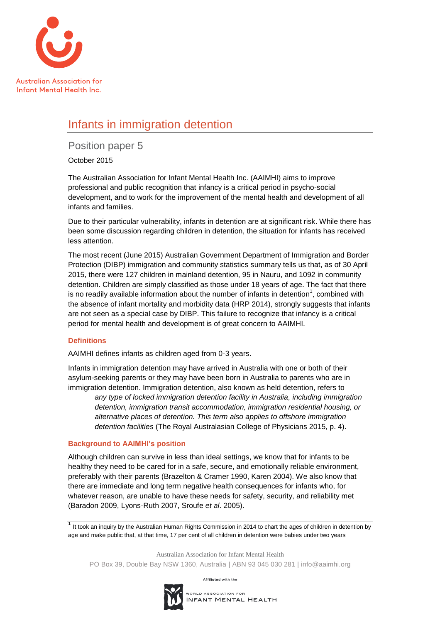

# Infants in immigration detention

Position paper 5

October 2015

The Australian Association for Infant Mental Health Inc. (AAIMHI) aims to improve professional and public recognition that infancy is a critical period in psycho-social development, and to work for the improvement of the mental health and development of all infants and families.

Due to their particular vulnerability, infants in detention are at significant risk. While there has been some discussion regarding children in detention, the situation for infants has received less attention.

The most recent (June 2015) Australian Government Department of Immigration and Border Protection (DIBP) immigration and community statistics summary tells us that, as of 30 April 2015, there were 127 children in mainland detention, 95 in Nauru, and 1092 in community detention. Children are simply classified as those under 18 years of age. The fact that there is no readily available information about the number of infants in detention<sup>1</sup>, combined with the absence of infant mortality and morbidity data (HRP 2014), strongly suggests that infants are not seen as a special case by DIBP. This failure to recognize that infancy is a critical period for mental health and development is of great concern to AAIMHI.

## **Definitions**

AAIMHI defines infants as children aged from 0-3 years.

Infants in immigration detention may have arrived in Australia with one or both of their asylum-seeking parents or they may have been born in Australia to parents who are in immigration detention. Immigration detention, also known as held detention, refers to

*any type of locked immigration detention facility in Australia, including immigration detention, immigration transit accommodation, immigration residential housing, or alternative places of detention. This term also applies to offshore immigration detention facilities* (The Royal Australasian College of Physicians 2015, p. 4).

## **Background to AAIMHI's position**

Although children can survive in less than ideal settings, we know that for infants to be healthy they need to be cared for in a safe, secure, and emotionally reliable environment, preferably with their parents (Brazelton & Cramer 1990, Karen 2004). We also know that there are immediate and long term negative health consequences for infants who, for whatever reason, are unable to have these needs for safety, security, and reliability met (Baradon 2009, Lyons-Ruth 2007, Sroufe *et al*. 2005).

 $1$  It took an inquiry by the Australian Human Rights Commission in 2014 to chart the ages of children in detention by age and make public that, at that time, 17 per cent of all children in detention were babies under two years

Australian Association for Infant Mental Health

PO Box 39, Double Bay NSW 1360, Australia | ABN 93 045 030 281 | info@aaimhi.org

Affiliated with the

WORLD ASSOCIATION FOR INFANT MENTAL HEALTH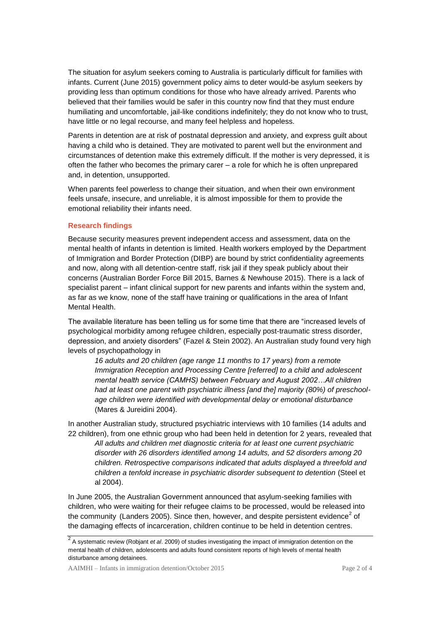The situation for asylum seekers coming to Australia is particularly difficult for families with infants. Current (June 2015) government policy aims to deter would-be asylum seekers by providing less than optimum conditions for those who have already arrived. Parents who believed that their families would be safer in this country now find that they must endure humiliating and uncomfortable, jail-like conditions indefinitely; they do not know who to trust, have little or no legal recourse, and many feel helpless and hopeless.

Parents in detention are at risk of postnatal depression and anxiety, and express guilt about having a child who is detained. They are motivated to parent well but the environment and circumstances of detention make this extremely difficult. If the mother is very depressed, it is often the father who becomes the primary carer – a role for which he is often unprepared and, in detention, unsupported.

When parents feel powerless to change their situation, and when their own environment feels unsafe, insecure, and unreliable, it is almost impossible for them to provide the emotional reliability their infants need.

### **Research findings**

Because security measures prevent independent access and assessment, data on the mental health of infants in detention is limited. Health workers employed by the Department of Immigration and Border Protection (DIBP) are bound by strict confidentiality agreements and now, along with all detention-centre staff, risk jail if they speak publicly about their concerns (Australian Border Force Bill 2015, Barnes & Newhouse 2015). There is a lack of specialist parent – infant clinical support for new parents and infants within the system and, as far as we know, none of the staff have training or qualifications in the area of Infant Mental Health.

The available literature has been telling us for some time that there are "increased levels of psychological morbidity among refugee children, especially post-traumatic stress disorder, depression, and anxiety disorders" (Fazel & Stein 2002). An Australian study found very high levels of psychopathology in

*16 adults and 20 children (age range 11 months to 17 years) from a remote Immigration Reception and Processing Centre [referred] to a child and adolescent mental health service (CAMHS) between February and August 2002…All children had at least one parent with psychiatric illness [and the] majority (80%) of preschoolage children were identified with developmental delay or emotional disturbance* (Mares & Jureidini 2004).

In another Australian study, structured psychiatric interviews with 10 families (14 adults and 22 children), from one ethnic group who had been held in detention for 2 years, revealed that *All adults and children met diagnostic criteria for at least one current psychiatric disorder with 26 disorders identified among 14 adults, and 52 disorders among 20 children. Retrospective comparisons indicated that adults displayed a threefold and children a tenfold increase in psychiatric disorder subsequent to detention* (Steel et al 2004).

In June 2005, the Australian Government announced that asylum-seeking families with children, who were waiting for their refugee claims to be processed, would be released into the community (Landers 2005). Since then, however, and despite persistent evidence<sup>2</sup> of the damaging effects of incarceration, children continue to be held in detention centres.

<sup>2</sup>A systematic review (Robjant *et al*. 2009) of studies investigating the impact of immigration detention on the mental health of children, adolescents and adults found consistent reports of high levels of mental health disturbance among detainees.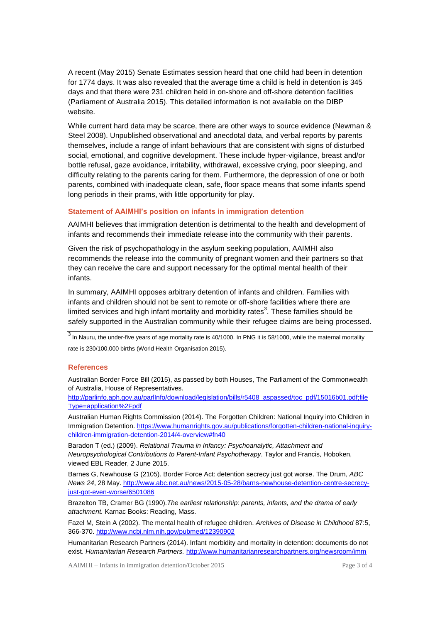A recent (May 2015) Senate Estimates session heard that one child had been in detention for 1774 days. It was also revealed that the average time a child is held in detention is 345 days and that there were 231 children held in on-shore and off-shore detention facilities (Parliament of Australia 2015). This detailed information is not available on the DIBP website.

While current hard data may be scarce, there are other ways to source evidence (Newman & Steel 2008). Unpublished observational and anecdotal data, and verbal reports by parents themselves, include a range of infant behaviours that are consistent with signs of disturbed social, emotional, and cognitive development. These include hyper-vigilance, breast and/or bottle refusal, gaze avoidance, irritability, withdrawal, excessive crying, poor sleeping, and difficulty relating to the parents caring for them. Furthermore, the depression of one or both parents, combined with inadequate clean, safe, floor space means that some infants spend long periods in their prams, with little opportunity for play.

#### **Statement of AAIMHI's position on infants in immigration detention**

AAIMHI believes that immigration detention is detrimental to the health and development of infants and recommends their immediate release into the community with their parents.

Given the risk of psychopathology in the asylum seeking population, AAIMHI also recommends the release into the community of pregnant women and their partners so that they can receive the care and support necessary for the optimal mental health of their infants.

In summary, AAIMHI opposes arbitrary detention of infants and children. Families with infants and children should not be sent to remote or off-shore facilities where there are limited services and high infant mortality and morbidity rates<sup>3</sup>. These families should be safely supported in the Australian community while their refugee claims are being processed.

 $\frac{3}{3}$  In Nauru, the under-five years of age mortality rate is 40/1000. In PNG it is 58/1000, while the maternal mortality rate is 230/100,000 births (World Health Organisation 2015).

#### **References**

Australian Border Force Bill (2015), as passed by both Houses, The Parliament of the Commonwealth of Australia, House of Representatives.

[http://parlinfo.aph.gov.au/parlInfo/download/legislation/bills/r5408\\_aspassed/toc\\_pdf/15016b01.pdf;file](http://parlinfo.aph.gov.au/parlInfo/download/legislation/bills/r5408_aspassed/toc_pdf/15016b01.pdf;fileType=application%2Fpdf) [Type=application%2Fpdf](http://parlinfo.aph.gov.au/parlInfo/download/legislation/bills/r5408_aspassed/toc_pdf/15016b01.pdf;fileType=application%2Fpdf)

Australian Human Rights Commission (2014). The Forgotten Children: National Inquiry into Children in Immigration Detention. [https://www.humanrights.gov.au/publications/forgotten-children-national-inquiry](https://www.humanrights.gov.au/publications/forgotten-children-national-inquiry-children-immigration-detention-2014/4-overview#fn40)[children-immigration-detention-2014/4-overview#fn40](https://www.humanrights.gov.au/publications/forgotten-children-national-inquiry-children-immigration-detention-2014/4-overview#fn40)

Baradon T (ed.) (2009). *Relational Trauma in Infancy: Psychoanalytic, Attachment and Neuropsychological Contributions to Parent-Infant Psychotherapy*. Taylor and Francis, Hoboken, viewed EBL Reader, 2 June 2015.

Barnes G, Newhouse G (2105). Border Force Act: detention secrecy just got worse. The Drum, *ABC News 24*, 28 May[. http://www.abc.net.au/news/2015-05-28/barns-newhouse-detention-centre-secrecy](http://www.abc.net.au/news/2015-05-28/barns-newhouse-detention-centre-secrecy-just-got-even-worse/6501086)[just-got-even-worse/6501086](http://www.abc.net.au/news/2015-05-28/barns-newhouse-detention-centre-secrecy-just-got-even-worse/6501086)

Brazelton TB, Cramer BG (1990).*The earliest relationship: parents, infants, and the drama of early attachment.* Karnac Books: Reading, Mass.

Fazel M, Stein A (2002). The mental health of refugee children. *Archives of Disease in Childhood* 87:5, 366-370.<http://www.ncbi.nlm.nih.gov/pubmed/12390902>

Humanitarian Research Partners (2014). Infant morbidity and mortality in detention: documents do not exist. *Humanitarian Research Partners.* <http://www.humanitarianresearchpartners.org/newsroom/imm>